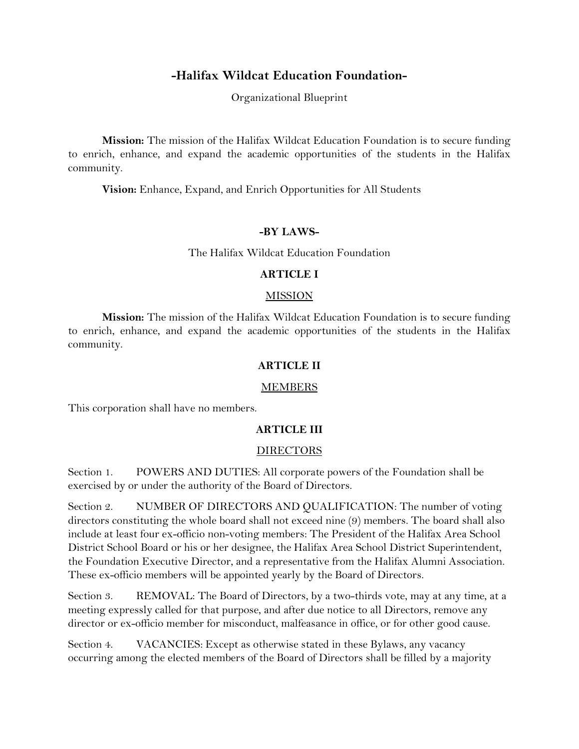## **-Halifax Wildcat Education Foundation-**

Organizational Blueprint

**Mission:** The mission of the Halifax Wildcat Education Foundation is to secure funding to enrich, enhance, and expand the academic opportunities of the students in the Halifax community.

**Vision:** Enhance, Expand, and Enrich Opportunities for All Students

#### **-BY LAWS-**

The Halifax Wildcat Education Foundation

#### **ARTICLE I**

#### **MISSION**

**Mission:** The mission of the Halifax Wildcat Education Foundation is to secure funding to enrich, enhance, and expand the academic opportunities of the students in the Halifax community.

#### **ARTICLE II**

#### MEMBERS

This corporation shall have no members.

#### **ARTICLE III**

#### DIRECTORS

Section 1. POWERS AND DUTIES: All corporate powers of the Foundation shall be exercised by or under the authority of the Board of Directors.

Section 2. NUMBER OF DIRECTORS AND QUALIFICATION: The number of voting directors constituting the whole board shall not exceed nine (9) members. The board shall also include at least four ex-officio non-voting members: The President of the Halifax Area School District School Board or his or her designee, the Halifax Area School District Superintendent, the Foundation Executive Director, and a representative from the Halifax Alumni Association. These ex-officio members will be appointed yearly by the Board of Directors.

Section 3. REMOVAL: The Board of Directors, by a two-thirds vote, may at any time, at a meeting expressly called for that purpose, and after due notice to all Directors, remove any director or ex-officio member for misconduct, malfeasance in office, or for other good cause.

Section 4. VACANCIES: Except as otherwise stated in these Bylaws, any vacancy occurring among the elected members of the Board of Directors shall be filled by a majority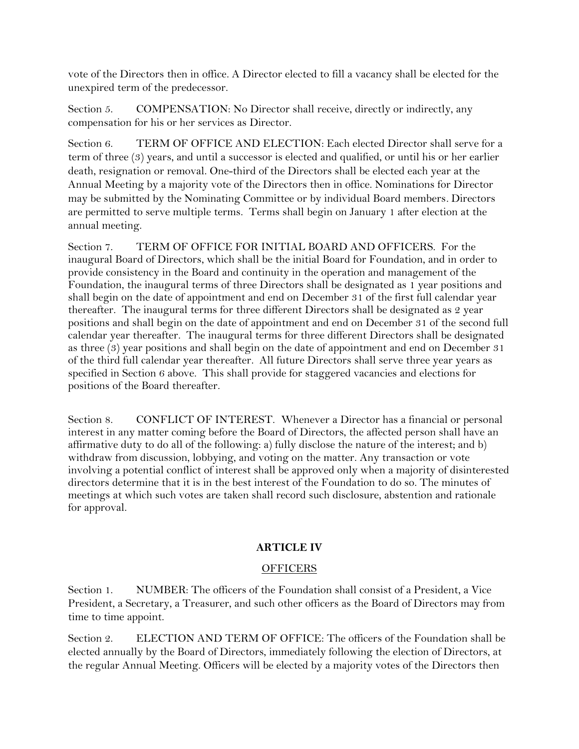vote of the Directors then in office. A Director elected to fill a vacancy shall be elected for the unexpired term of the predecessor.

Section 5. COMPENSATION: No Director shall receive, directly or indirectly, any compensation for his or her services as Director.

Section 6. TERM OF OFFICE AND ELECTION: Each elected Director shall serve for a term of three (3) years, and until a successor is elected and qualified, or until his or her earlier death, resignation or removal. One-third of the Directors shall be elected each year at the Annual Meeting by a majority vote of the Directors then in office. Nominations for Director may be submitted by the Nominating Committee or by individual Board members*.* Directors are permitted to serve multiple terms. Terms shall begin on January 1 after election at the annual meeting.

Section 7. TERM OF OFFICE FOR INITIAL BOARD AND OFFICERS. For the inaugural Board of Directors, which shall be the initial Board for Foundation, and in order to provide consistency in the Board and continuity in the operation and management of the Foundation, the inaugural terms of three Directors shall be designated as 1 year positions and shall begin on the date of appointment and end on December 31 of the first full calendar year thereafter. The inaugural terms for three different Directors shall be designated as 2 year positions and shall begin on the date of appointment and end on December 31 of the second full calendar year thereafter. The inaugural terms for three different Directors shall be designated as three (3) year positions and shall begin on the date of appointment and end on December 31 of the third full calendar year thereafter. All future Directors shall serve three year years as specified in Section 6 above. This shall provide for staggered vacancies and elections for positions of the Board thereafter.

Section 8. CONFLICT OF INTEREST.Whenever a Director has a financial or personal interest in any matter coming before the Board of Directors, the affected person shall have an affirmative duty to do all of the following: a) fully disclose the nature of the interest; and b) withdraw from discussion, lobbying, and voting on the matter. Any transaction or vote involving a potential conflict of interest shall be approved only when a majority of disinterested directors determine that it is in the best interest of the Foundation to do so. The minutes of meetings at which such votes are taken shall record such disclosure, abstention and rationale for approval.

### **ARTICLE IV**

#### **OFFICERS**

Section 1. NUMBER: The officers of the Foundation shall consist of a President, a Vice President, a Secretary, a Treasurer, and such other officers as the Board of Directors may from time to time appoint.

Section 2. ELECTION AND TERM OF OFFICE: The officers of the Foundation shall be elected annually by the Board of Directors, immediately following the election of Directors, at the regular Annual Meeting. Officers will be elected by a majority votes of the Directors then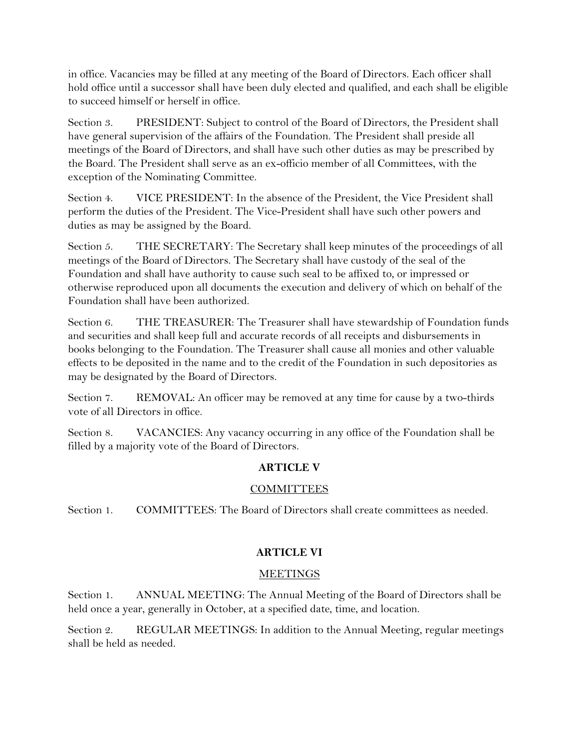in office. Vacancies may be filled at any meeting of the Board of Directors. Each officer shall hold office until a successor shall have been duly elected and qualified, and each shall be eligible to succeed himself or herself in office.

Section 3. PRESIDENT: Subject to control of the Board of Directors, the President shall have general supervision of the affairs of the Foundation. The President shall preside all meetings of the Board of Directors, and shall have such other duties as may be prescribed by the Board. The President shall serve as an ex-officio member of all Committees, with the exception of the Nominating Committee.

Section 4. VICE PRESIDENT: In the absence of the President, the Vice President shall perform the duties of the President. The Vice-President shall have such other powers and duties as may be assigned by the Board.

Section 5. THE SECRETARY: The Secretary shall keep minutes of the proceedings of all meetings of the Board of Directors. The Secretary shall have custody of the seal of the Foundation and shall have authority to cause such seal to be affixed to, or impressed or otherwise reproduced upon all documents the execution and delivery of which on behalf of the Foundation shall have been authorized.

Section 6. THE TREASURER: The Treasurer shall have stewardship of Foundation funds and securities and shall keep full and accurate records of all receipts and disbursements in books belonging to the Foundation. The Treasurer shall cause all monies and other valuable effects to be deposited in the name and to the credit of the Foundation in such depositories as may be designated by the Board of Directors.

Section 7. REMOVAL: An officer may be removed at any time for cause by a two-thirds vote of all Directors in office.

Section 8. VACANCIES: Any vacancy occurring in any office of the Foundation shall be filled by a majority vote of the Board of Directors.

# **ARTICLE V**

### COMMITTEES

Section 1. COMMITTEES: The Board of Directors shall create committees as needed.

### **ARTICLE VI**

### MEETINGS

Section 1. ANNUAL MEETING: The Annual Meeting of the Board of Directors shall be held once a year, generally in October, at a specified date, time, and location.

Section 2. REGULAR MEETINGS: In addition to the Annual Meeting, regular meetings shall be held as needed.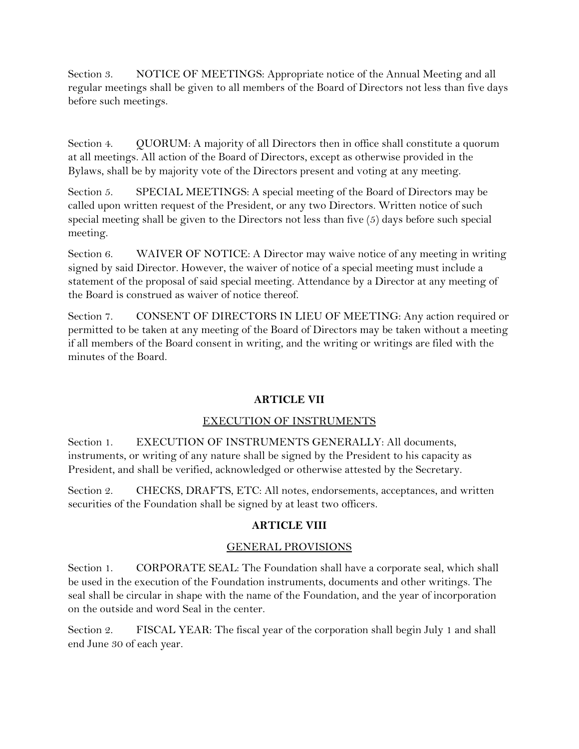Section 3. NOTICE OF MEETINGS: Appropriate notice of the Annual Meeting and all regular meetings shall be given to all members of the Board of Directors not less than five days before such meetings.

Section 4. QUORUM: A majority of all Directors then in office shall constitute a quorum at all meetings. All action of the Board of Directors, except as otherwise provided in the Bylaws, shall be by majority vote of the Directors present and voting at any meeting.

Section 5. SPECIAL MEETINGS: A special meeting of the Board of Directors may be called upon written request of the President, or any two Directors. Written notice of such special meeting shall be given to the Directors not less than five  $(5)$  days before such special meeting.

Section 6. WAIVER OF NOTICE: A Director may waive notice of any meeting in writing signed by said Director. However, the waiver of notice of a special meeting must include a statement of the proposal of said special meeting. Attendance by a Director at any meeting of the Board is construed as waiver of notice thereof.

Section 7. CONSENT OF DIRECTORS IN LIEU OF MEETING: Any action required or permitted to be taken at any meeting of the Board of Directors may be taken without a meeting if all members of the Board consent in writing, and the writing or writings are filed with the minutes of the Board.

### **ARTICLE VII**

# EXECUTION OF INSTRUMENTS

Section 1. EXECUTION OF INSTRUMENTS GENERALLY: All documents, instruments, or writing of any nature shall be signed by the President to his capacity as President, and shall be verified, acknowledged or otherwise attested by the Secretary.

Section 2. CHECKS, DRAFTS, ETC: All notes, endorsements, acceptances, and written securities of the Foundation shall be signed by at least two officers.

# **ARTICLE VIII**

### GENERAL PROVISIONS

Section 1. CORPORATE SEAL: The Foundation shall have a corporate seal, which shall be used in the execution of the Foundation instruments, documents and other writings. The seal shall be circular in shape with the name of the Foundation, and the year of incorporation on the outside and word Seal in the center.

Section 2. FISCAL YEAR: The fiscal year of the corporation shall begin July 1 and shall end June 30 of each year.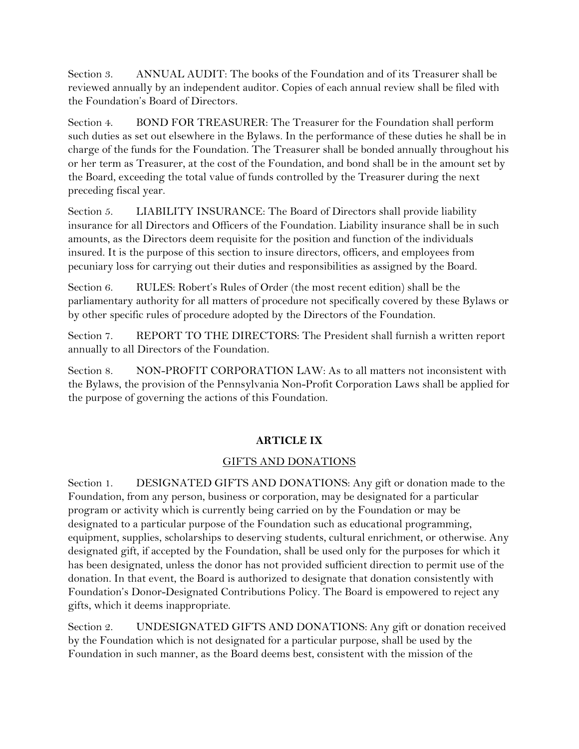Section 3. ANNUAL AUDIT: The books of the Foundation and of its Treasurer shall be reviewed annually by an independent auditor. Copies of each annual review shall be filed with the Foundation's Board of Directors.

Section 4. BOND FOR TREASURER: The Treasurer for the Foundation shall perform such duties as set out elsewhere in the Bylaws. In the performance of these duties he shall be in charge of the funds for the Foundation. The Treasurer shall be bonded annually throughout his or her term as Treasurer, at the cost of the Foundation, and bond shall be in the amount set by the Board, exceeding the total value of funds controlled by the Treasurer during the next preceding fiscal year.

Section 5. LIABILITY INSURANCE: The Board of Directors shall provide liability insurance for all Directors and Officers of the Foundation. Liability insurance shall be in such amounts, as the Directors deem requisite for the position and function of the individuals insured. It is the purpose of this section to insure directors, officers, and employees from pecuniary loss for carrying out their duties and responsibilities as assigned by the Board.

Section 6. RULES: Robert's Rules of Order (the most recent edition) shall be the parliamentary authority for all matters of procedure not specifically covered by these Bylaws or by other specific rules of procedure adopted by the Directors of the Foundation.

Section 7. REPORT TO THE DIRECTORS: The President shall furnish a written report annually to all Directors of the Foundation.

Section 8. NON-PROFIT CORPORATION LAW: As to all matters not inconsistent with the Bylaws, the provision of the Pennsylvania Non-Profit Corporation Laws shall be applied for the purpose of governing the actions of this Foundation.

# **ARTICLE IX**

# GIFTS AND DONATIONS

Section 1. DESIGNATED GIFTS AND DONATIONS: Any gift or donation made to the Foundation, from any person, business or corporation, may be designated for a particular program or activity which is currently being carried on by the Foundation or may be designated to a particular purpose of the Foundation such as educational programming, equipment, supplies, scholarships to deserving students, cultural enrichment, or otherwise. Any designated gift, if accepted by the Foundation, shall be used only for the purposes for which it has been designated, unless the donor has not provided sufficient direction to permit use of the donation. In that event, the Board is authorized to designate that donation consistently with Foundation's Donor-Designated Contributions Policy. The Board is empowered to reject any gifts, which it deems inappropriate.

Section 2. UNDESIGNATED GIFTS AND DONATIONS: Any gift or donation received by the Foundation which is not designated for a particular purpose, shall be used by the Foundation in such manner, as the Board deems best, consistent with the mission of the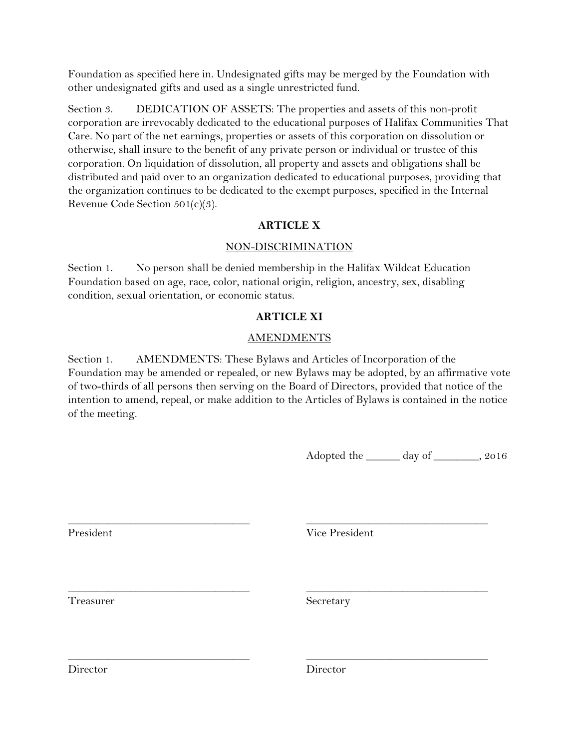Foundation as specified here in. Undesignated gifts may be merged by the Foundation with other undesignated gifts and used as a single unrestricted fund.

Section 3. DEDICATION OF ASSETS: The properties and assets of this non-profit corporation are irrevocably dedicated to the educational purposes of Halifax Communities That Care. No part of the net earnings, properties or assets of this corporation on dissolution or otherwise, shall insure to the benefit of any private person or individual or trustee of this corporation. On liquidation of dissolution, all property and assets and obligations shall be distributed and paid over to an organization dedicated to educational purposes, providing that the organization continues to be dedicated to the exempt purposes, specified in the Internal Revenue Code Section 501(c)(3).

### **ARTICLE X**

### NON-DISCRIMINATION

Section 1. No person shall be denied membership in the Halifax Wildcat Education Foundation based on age, race, color, national origin, religion, ancestry, sex, disabling condition, sexual orientation, or economic status.

## **ARTICLE XI**

## **AMENDMENTS**

Section 1. AMENDMENTS: These Bylaws and Articles of Incorporation of the Foundation may be amended or repealed, or new Bylaws may be adopted, by an affirmative vote of two-thirds of all persons then serving on the Board of Directors, provided that notice of the intention to amend, repeal, or make addition to the Articles of Bylaws is contained in the notice of the meeting.

\_\_\_\_\_\_\_\_\_\_\_\_\_\_\_\_\_\_\_\_\_\_\_\_\_\_\_\_\_\_\_\_ \_\_\_\_\_\_\_\_\_\_\_\_\_\_\_\_\_\_\_\_\_\_\_\_\_\_\_\_\_\_\_\_

\_\_\_\_\_\_\_\_\_\_\_\_\_\_\_\_\_\_\_\_\_\_\_\_\_\_\_\_\_\_\_\_ \_\_\_\_\_\_\_\_\_\_\_\_\_\_\_\_\_\_\_\_\_\_\_\_\_\_\_\_\_\_\_\_

Adopted the  $\qquad \qquad$  day of  $\qquad \qquad$ , 2016

\_\_\_\_\_\_\_\_\_\_\_\_\_\_\_\_\_\_\_\_\_\_\_\_\_\_\_\_\_\_\_\_ \_\_\_\_\_\_\_\_\_\_\_\_\_\_\_\_\_\_\_\_\_\_\_\_\_\_\_\_\_\_\_\_ President Vice President

Treasurer Secretary

Director Director